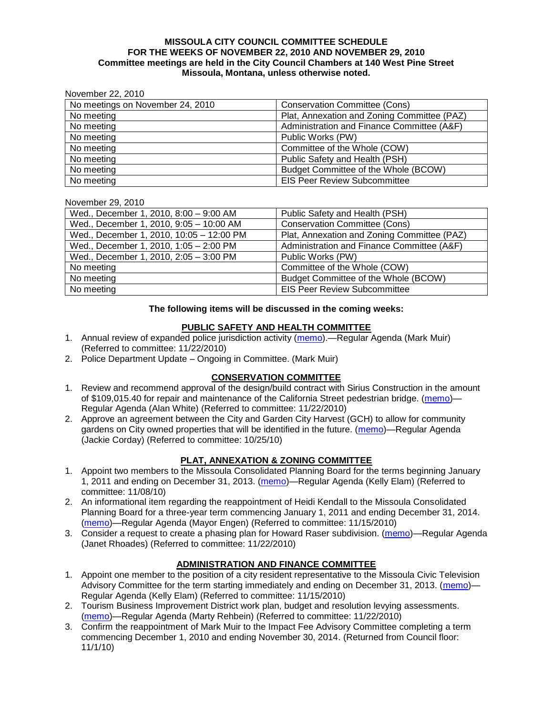#### **MISSOULA CITY COUNCIL COMMITTEE SCHEDULE FOR THE WEEKS OF NOVEMBER 22, 2010 AND NOVEMBER 29, 2010 Committee meetings are held in the City Council Chambers at 140 West Pine Street Missoula, Montana, unless otherwise noted.**

| November 22, 2010 |  |
|-------------------|--|
|                   |  |

| No meetings on November 24, 2010 | <b>Conservation Committee (Cons)</b>        |  |
|----------------------------------|---------------------------------------------|--|
| No meeting                       | Plat, Annexation and Zoning Committee (PAZ) |  |
| No meeting                       | Administration and Finance Committee (A&F)  |  |
| No meeting                       | Public Works (PW)                           |  |
| No meeting                       | Committee of the Whole (COW)                |  |
| No meeting                       | Public Safety and Health (PSH)              |  |
| No meeting                       | Budget Committee of the Whole (BCOW)        |  |
| No meeting                       | <b>EIS Peer Review Subcommittee</b>         |  |

#### November 29, 2010

| Wed., December 1, 2010, 8:00 - 9:00 AM   | Public Safety and Health (PSH)              |  |
|------------------------------------------|---------------------------------------------|--|
| Wed., December 1, 2010, 9:05 - 10:00 AM  | <b>Conservation Committee (Cons)</b>        |  |
| Wed., December 1, 2010, 10:05 - 12:00 PM | Plat, Annexation and Zoning Committee (PAZ) |  |
| Wed., December 1, 2010, 1:05 - 2:00 PM   | Administration and Finance Committee (A&F)  |  |
| Wed., December 1, 2010, 2:05 - 3:00 PM   | Public Works (PW)                           |  |
| No meeting                               | Committee of the Whole (COW)                |  |
| No meeting                               | Budget Committee of the Whole (BCOW)        |  |
| No meeting                               | <b>EIS Peer Review Subcommittee</b>         |  |

### **The following items will be discussed in the coming weeks:**

## **PUBLIC SAFETY AND HEALTH COMMITTEE**

- 1. Annual review of expanded police jurisdiction activity [\(memo\)](http://www.ci.missoula.mt.us/DocumentView.aspx?DID=5086).—Regular Agenda (Mark Muir) (Referred to committee: 11/22/2010)
- 2. Police Department Update Ongoing in Committee. (Mark Muir)

# **CONSERVATION COMMITTEE**

- 1. Review and recommend approval of the design/build contract with Sirius Construction in the amount of \$109,015.40 for repair and maintenance of the California Street pedestrian bridge. [\(memo\)](http://www.ci.missoula.mt.us/DocumentView.aspx?DID=5090)— Regular Agenda (Alan White) (Referred to committee: 11/22/2010)
- 2. Approve an agreement between the City and Garden City Harvest (GCH) to allow for community gardens on City owned properties that will be identified in the future. [\(memo\)](http://www.ci.missoula.mt.us/DocumentView.aspx?DID=4847)—Regular Agenda (Jackie Corday) (Referred to committee: 10/25/10)

# **PLAT, ANNEXATION & ZONING COMMITTEE**

- 1. Appoint two members to the Missoula Consolidated Planning Board for the terms beginning January 1, 2011 and ending on December 31, 2013. [\(memo\)](http://www.ci.missoula.mt.us/DocumentView.aspx?DID=4950)—Regular Agenda (Kelly Elam) (Referred to committee: 11/08/10)
- 2. An informational item regarding the reappointment of Heidi Kendall to the Missoula Consolidated Planning Board for a three-year term commencing January 1, 2011 and ending December 31, 2014. [\(memo\)](http://www.ci.missoula.mt.us/DocumentView.aspx?DID=5043)—Regular Agenda (Mayor Engen) (Referred to committee: 11/15/2010)
- 3. Consider a request to create a phasing plan for Howard Raser subdivision. [\(memo\)](http://www.ci.missoula.mt.us/DocumentView.aspx?DID=5098)—Regular Agenda (Janet Rhoades) (Referred to committee: 11/22/2010)

# **ADMINISTRATION AND FINANCE COMMITTEE**

- 1. Appoint one member to the position of a city resident representative to the Missoula Civic Television Advisory Committee for the term starting immediately and ending on December 31, 2013. [\(memo\)](http://www.ci.missoula.mt.us/DocumentView.aspx?DID=5045)— Regular Agenda (Kelly Elam) (Referred to committee: 11/15/2010)
- 2. Tourism Business Improvement District work plan, budget and resolution levying assessments. [\(memo\)](http://www.ci.missoula.mt.us/DocumentView.aspx?DID=5087)—Regular Agenda (Marty Rehbein) (Referred to committee: 11/22/2010)
- 3. Confirm the reappointment of Mark Muir to the Impact Fee Advisory Committee completing a term commencing December 1, 2010 and ending November 30, 2014. (Returned from Council floor: 11/1/10)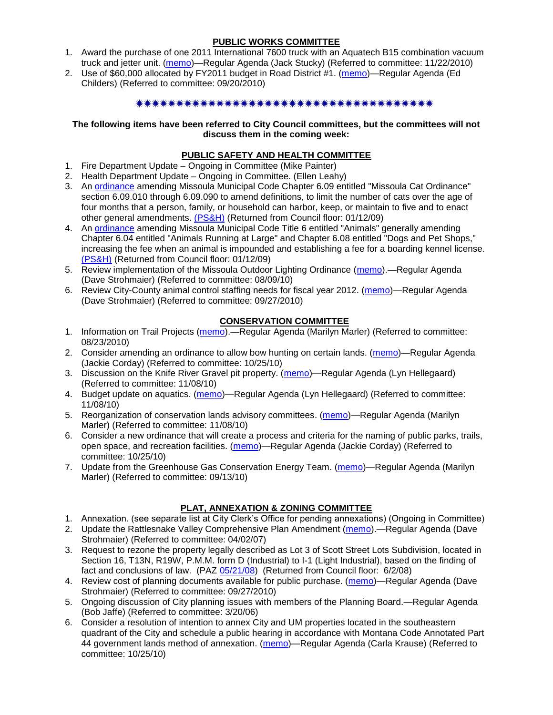## **PUBLIC WORKS COMMITTEE**

- 1. Award the purchase of one 2011 International 7600 truck with an Aquatech B15 combination vacuum truck and jetter unit. [\(memo\)](http://www.ci.missoula.mt.us/DocumentView.aspx?DID=5093)—Regular Agenda (Jack Stucky) (Referred to committee: 11/22/2010)
- 2. Use of \$60,000 allocated by FY2011 budget in Road District #1. [\(memo\)](http://www.ci.missoula.mt.us/DocumentView.aspx?DID=4589)—Regular Agenda (Ed Childers) (Referred to committee: 09/20/2010)

### \*\*\*\*\*\*\*\*\*\*\*\*\*\*\*\*\*\*\*\*\*\*\*\*\*\*\*\*\*\*\*\*\*\*\*

### **The following items have been referred to City Council committees, but the committees will not discuss them in the coming week:**

## **PUBLIC SAFETY AND HEALTH COMMITTEE**

- 1. Fire Department Update Ongoing in Committee (Mike Painter)
- 2. Health Department Update Ongoing in Committee. (Ellen Leahy)
- 3. An [ordinance](ftp://ftp.ci.missoula.mt.us/Packets/Council/2008/2008-12-15/2008CatOrdinanceAmendment%5B1%5D.pdf) amending Missoula Municipal Code Chapter 6.09 entitled "Missoula Cat Ordinance" section 6.09.010 through 6.09.090 to amend definitions, to limit the number of cats over the age of four months that a person, family, or household can harbor, keep, or maintain to five and to enact other general amendments. [\(PS&H\)](ftp://ftp.ci.missoula.mt.us/Packets/Council/2008/2008-12-15/081210psh.pdf) (Returned from Council floor: 01/12/09)
- 4. An [ordinance](ftp://ftp.ci.missoula.mt.us/Packets/Council/2008/2008-12-15/DogOrdinance--PSHrevisions.pdf) amending Missoula Municipal Code Title 6 entitled "Animals" generally amending Chapter 6.04 entitled "Animals Running at Large" and Chapter 6.08 entitled "Dogs and Pet Shops," increasing the fee when an animal is impounded and establishing a fee for a boarding kennel license. [\(PS&H\)](ftp://ftp.ci.missoula.mt.us/Packets/Council/2008/2008-12-15/081210psh.pdf) (Returned from Council floor: 01/12/09)
- 5. Review implementation of the Missoula Outdoor Lighting Ordinance [\(memo\)](http://www.ci.missoula.mt.us/DocumentView.aspx?DID=4420).—Regular Agenda (Dave Strohmaier) (Referred to committee: 08/09/10)
- 6. Review City-County animal control staffing needs for fiscal year 2012. [\(memo\)](http://www.ci.missoula.mt.us/DocumentView.aspx?DID=4620)—Regular Agenda (Dave Strohmaier) (Referred to committee: 09/27/2010)

## **CONSERVATION COMMITTEE**

- 1. Information on Trail Projects [\(memo\)](http://www.ci.missoula.mt.us/DocumentView.aspx?DID=4477).—Regular Agenda (Marilyn Marler) (Referred to committee: 08/23/2010)
- 2. Consider amending an ordinance to allow bow hunting on certain lands. [\(memo\)](http://www.ci.missoula.mt.us/DocumentView.aspx?DID=4846)—Regular Agenda (Jackie Corday) (Referred to committee: 10/25/10)
- 3. Discussion on the Knife River Gravel pit property. [\(memo\)](http://www.ci.missoula.mt.us/DocumentView.aspx?DID=4914)—Regular Agenda (Lyn Hellegaard) (Referred to committee: 11/08/10)
- 4. Budget update on aquatics. [\(memo\)](http://www.ci.missoula.mt.us/DocumentView.aspx?DID=4917)—Regular Agenda (Lyn Hellegaard) (Referred to committee: 11/08/10)
- 5. Reorganization of conservation lands advisory committees. [\(memo\)](http://www.ci.missoula.mt.us/DocumentView.aspx?DID=4957)—Regular Agenda (Marilyn Marler) (Referred to committee: 11/08/10)
- 6. Consider a new ordinance that will create a process and criteria for the naming of public parks, trails, open space, and recreation facilities. [\(memo\)](http://www.ci.missoula.mt.us/DocumentView.aspx?DID=4848)—Regular Agenda (Jackie Corday) (Referred to committee: 10/25/10)
- 7. Update from the Greenhouse Gas Conservation Energy Team. [\(memo\)](http://www.ci.missoula.mt.us/DocumentView.aspx?DID=4556)—Regular Agenda (Marilyn Marler) (Referred to committee: 09/13/10)

# **PLAT, ANNEXATION & ZONING COMMITTEE**

- 1. Annexation. (see separate list at City Clerk's Office for pending annexations) (Ongoing in Committee)
- 2. Update the Rattlesnake Valley Comprehensive Plan Amendment [\(memo\)](ftp://ftp.ci.missoula.mt.us/Packets/Council/2007/2007-04-02/Referrals/Rattlesnake_Plan_Update_referral.pdf).—Regular Agenda (Dave Strohmaier) (Referred to committee: 04/02/07)
- 3. Request to rezone the property legally described as Lot 3 of Scott Street Lots Subdivision, located in Section 16, T13N, R19W, P.M.M. form D (Industrial) to I-1 (Light Industrial), based on the finding of fact and conclusions of law. (PAZ [05/21/08\)](ftp://ftp.ci.missoula.mt.us/Packets/Council/2008/2008-06-02/080521paz.pdf) (Returned from Council floor: 6/2/08)
- 4. Review cost of planning documents available for public purchase. [\(memo\)](http://www.ci.missoula.mt.us/DocumentView.aspx?DID=4624)—Regular Agenda (Dave Strohmaier) (Referred to committee: 09/27/2010)
- 5. Ongoing discussion of City planning issues with members of the Planning Board.—Regular Agenda (Bob Jaffe) (Referred to committee: 3/20/06)
- 6. Consider a resolution of intention to annex City and UM properties located in the southeastern quadrant of the City and schedule a public hearing in accordance with Montana Code Annotated Part 44 government lands method of annexation. [\(memo\)](http://www.ci.missoula.mt.us/DocumentView.aspx?DID=4845)—Regular Agenda (Carla Krause) (Referred to committee: 10/25/10)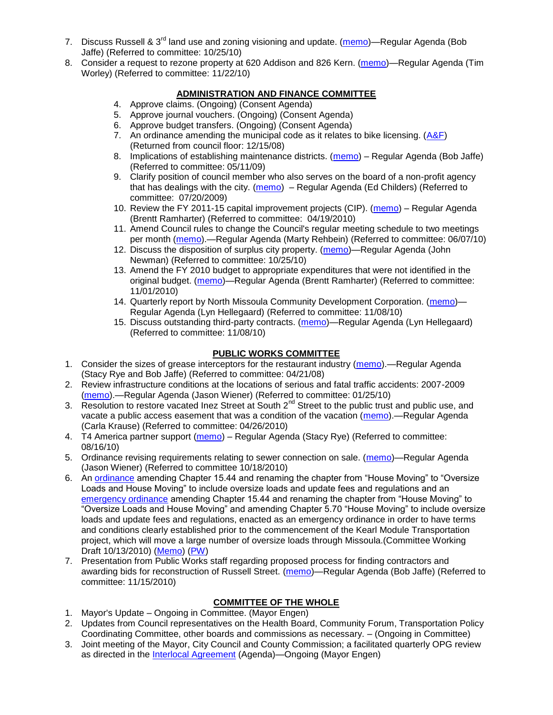- 7. Discuss Russell & 3<sup>rd</sup> land use and zoning visioning and update. [\(memo\)](http://www.ci.missoula.mt.us/DocumentView.aspx?DID=4864)—Regular Agenda (Bob Jaffe) (Referred to committee: 10/25/10)
- 8. Consider a request to rezone property at 620 Addison and 826 Kern. [\(memo\)](http://www.ci.missoula.mt.us/DocumentView.aspx?DID=5088)—Regular Agenda (Tim Worley) (Referred to committee: 11/22/10)

## **ADMINISTRATION AND FINANCE COMMITTEE**

- 4. Approve claims. (Ongoing) (Consent Agenda)
- 5. Approve journal vouchers. (Ongoing) (Consent Agenda)
- 6. Approve budget transfers. (Ongoing) (Consent Agenda)
- 7. An ordinance amending the municipal code as it relates to bike licensing. [\(A&F\)](ftp://ftp.ci.missoula.mt.us/Packets/Council/2008/2008-12-15/081210af.pdf) (Returned from council floor: 12/15/08)
- 8. Implications of establishing maintenance districts. [\(memo\)](ftp://ftp.ci.missoula.mt.us/Packets/Council/2009/2009-05-11/Referrals/MaintenanceDistricts.pdf) Regular Agenda (Bob Jaffe) (Referred to committee: 05/11/09)
- 9. Clarify position of council member who also serves on the board of a non-profit agency that has dealings with the city. [\(memo\)](http://www.ci.missoula.mt.us/DocumentView.aspx?DID=1840) – Regular Agenda (Ed Childers) (Referred to committee: 07/20/2009)
- 10. Review the FY 2011-15 capital improvement projects (CIP). [\(memo\)](http://www.ci.missoula.mt.us/DocumentView.aspx?DID=3522) Regular Agenda (Brentt Ramharter) (Referred to committee: 04/19/2010)
- 11. Amend Council rules to change the Council's regular meeting schedule to two meetings per month [\(memo\)](http://www.ci.missoula.mt.us/DocumentView.aspx?DID=4027).—Regular Agenda (Marty Rehbein) (Referred to committee: 06/07/10)
- 12. Discuss the disposition of surplus city property. [\(memo\)](http://www.ci.missoula.mt.us/DocumentView.aspx?DID=4862)—Regular Agenda (John Newman) (Referred to committee: 10/25/10)
- 13. Amend the FY 2010 budget to appropriate expenditures that were not identified in the original budget. [\(memo\)](http://www.ci.missoula.mt.us/DocumentView.aspx?DID=4883)—Regular Agenda (Brentt Ramharter) (Referred to committee: 11/01/2010)
- 14. Quarterly report by North Missoula Community Development Corporation. [\(memo\)](http://www.ci.missoula.mt.us/DocumentView.aspx?DID=4915) Regular Agenda (Lyn Hellegaard) (Referred to committee: 11/08/10)
- 15. Discuss outstanding third-party contracts. [\(memo\)](http://www.ci.missoula.mt.us/DocumentView.aspx?DID=4956)—Regular Agenda (Lyn Hellegaard) (Referred to committee: 11/08/10)

## **PUBLIC WORKS COMMITTEE**

- 1. Consider the sizes of grease interceptors for the restaurant industry [\(memo\)](ftp://ftp.ci.missoula.mt.us/Packets/Council/2008/2008-04-21/Referrals/Industrial_waste_restaurants.pdf).—Regular Agenda (Stacy Rye and Bob Jaffe) (Referred to committee: 04/21/08)
- 2. Review infrastructure conditions at the locations of serious and fatal traffic accidents: 2007-2009 [\(memo\)](http://www.ci.missoula.mt.us/DocumentView.aspx?DID=3031).—Regular Agenda (Jason Wiener) (Referred to committee: 01/25/10)
- 3. Resolution to restore vacated Inez Street at South 2<sup>nd</sup> Street to the public trust and public use, and vacate a public access easement that was a condition of the vacation [\(memo\)](http://www.ci.missoula.mt.us/DocumentView.aspx?DID=3573).—Regular Agenda (Carla Krause) (Referred to committee: 04/26/2010)
- 4. T4 America partner support [\(memo\)](http://www.ci.missoula.mt.us/DocumentView.aspx?DID=4452) Regular Agenda (Stacy Rye) (Referred to committee: 08/16/10)
- 5. Ordinance revising requirements relating to sewer connection on sale. [\(memo\)](http://www.ci.missoula.mt.us/DocumentView.aspx?DID=4746)—Regular Agenda (Jason Wiener) (Referred to committee 10/18/2010)
- 6. An [ordinance](http://www.ci.missoula.mt.us/DocumentView.aspx?DID=4348) amending Chapter 15.44 and renaming the chapter from "House Moving" to "Oversize" Loads and House Moving" to include oversize loads and update fees and regulations and an [emergency ordinance](http://www.ci.missoula.mt.us/DocumentView.aspx?DID=4409) amending Chapter 15.44 and renaming the chapter from "House Moving" to "Oversize Loads and House Moving" and amending Chapter 5.70 "House Moving" to include oversize loads and update fees and regulations, enacted as an emergency ordinance in order to have terms and conditions clearly established prior to the commencement of the Kearl Module Transportation project, which will move a large number of oversize loads through Missoula.(Committee Working Draft 10/13/2010) [\(Memo\)](http://www.ci.missoula.mt.us/DocumentView.aspx?DID=4362) [\(PW\)](http://www.ci.missoula.mt.us/Archive.aspx?ADID=2800)
- 7. Presentation from Public Works staff regarding proposed process for finding contractors and awarding bids for reconstruction of Russell Street. [\(memo\)](http://www.ci.missoula.mt.us/DocumentView.aspx?DID=5042)—Regular Agenda (Bob Jaffe) (Referred to committee: 11/15/2010)

# **COMMITTEE OF THE WHOLE**

- 1. Mayor's Update Ongoing in Committee. (Mayor Engen)
- 2. Updates from Council representatives on the Health Board, Community Forum, Transportation Policy Coordinating Committee, other boards and commissions as necessary. – (Ongoing in Committee)
- 3. Joint meeting of the Mayor, City Council and County Commission; a facilitated quarterly OPG review as directed in the [Interlocal Agreement](ftp://ftp.ci.missoula.mt.us/Documents/Mayor/OPG/Adopted-ILA-2005.pdf) (Agenda)—Ongoing (Mayor Engen)